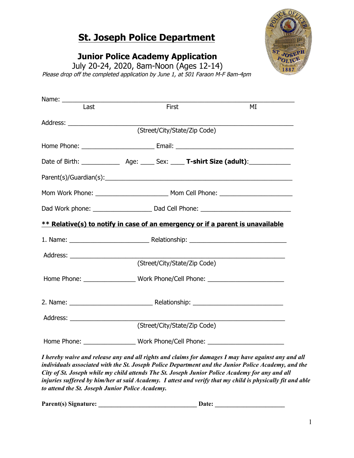# **St. Joseph Police Department**

**Junior Police Academy Application** 

July 20-24, 2020, 8am-Noon (Ages 12-14) Please drop off the completed application by June 1, at 501 Faraon M-F 8am-4pm

|                                                                                   | MI                                                                                                                                                      |  |  |  |
|-----------------------------------------------------------------------------------|---------------------------------------------------------------------------------------------------------------------------------------------------------|--|--|--|
|                                                                                   |                                                                                                                                                         |  |  |  |
|                                                                                   |                                                                                                                                                         |  |  |  |
|                                                                                   |                                                                                                                                                         |  |  |  |
|                                                                                   |                                                                                                                                                         |  |  |  |
|                                                                                   |                                                                                                                                                         |  |  |  |
|                                                                                   |                                                                                                                                                         |  |  |  |
|                                                                                   |                                                                                                                                                         |  |  |  |
|                                                                                   |                                                                                                                                                         |  |  |  |
|                                                                                   |                                                                                                                                                         |  |  |  |
|                                                                                   |                                                                                                                                                         |  |  |  |
|                                                                                   |                                                                                                                                                         |  |  |  |
| Home Phone: _________________________Work Phone/Cell Phone: _____________________ |                                                                                                                                                         |  |  |  |
|                                                                                   |                                                                                                                                                         |  |  |  |
|                                                                                   |                                                                                                                                                         |  |  |  |
|                                                                                   |                                                                                                                                                         |  |  |  |
| (Street/City/State/Zip Code)                                                      |                                                                                                                                                         |  |  |  |
|                                                                                   | First<br>(Street/City/State/Zip Code)<br>** Relative(s) to notify in case of an emergency or if a parent is unavailable<br>(Street/City/State/Zip Code) |  |  |  |

*I* waive and release any and all rights and claims for damages I may have against any and all *individuals associated with the St. Joseph Police Department and the Junior Police Academy, and the City of St. Joseph while my child attends The St. Joseph Junior Police Academy for any and all injuries suffered by him/her at said Academy. I attest and verify that my child is physically fit and able to attend the St. Joseph Junior Police Academy.*

Parent(s) Signature: **Date:** Date: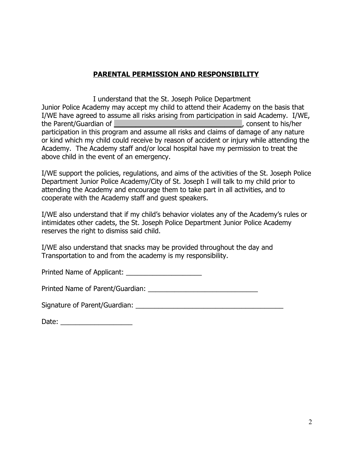## **PARENTAL PERMISSION AND RESPONSIBILITY**

I understand that the St. Joseph Police Department Junior Police Academy may accept my child to attend their Academy on the basis that I/WE have agreed to assume all risks arising from participation in said Academy. I/WE, the Parent/Guardian of **\_\_\_\_\_\_\_\_\_\_\_\_\_\_\_\_\_\_\_\_\_\_\_\_\_\_\_\_\_**, consent to his/her participation in this program and assume all risks and claims of damage of any nature or kind which my child could receive by reason of accident or injury while attending the Academy. The Academy staff and/or local hospital have my permission to treat the above child in the event of an emergency.

I/WE support the policies, regulations, and aims of the activities of the St. Joseph Police Department Junior Police Academy/City of St. Joseph I will talk to my child prior to attending the Academy and encourage them to take part in all activities, and to cooperate with the Academy staff and guest speakers.

I/WE also understand that if my child's behavior violates any of the Academy's rules or intimidates other cadets, the St. Joseph Police Department Junior Police Academy reserves the right to dismiss said child.

I/WE also understand that snacks may be provided throughout the day and Transportation to and from the academy is my responsibility.

Printed Name of Applicant:

Printed Name of Parent/Guardian: \_\_\_\_\_\_\_\_\_\_\_\_\_\_\_\_\_\_\_\_\_\_\_\_\_\_\_\_\_

Signature of Parent/Guardian: \_\_\_\_\_\_\_\_\_\_\_\_\_\_\_\_\_\_\_\_\_\_\_\_\_\_\_\_\_\_\_\_\_\_\_\_\_\_\_

| Date: |  |  |  |  |
|-------|--|--|--|--|
|       |  |  |  |  |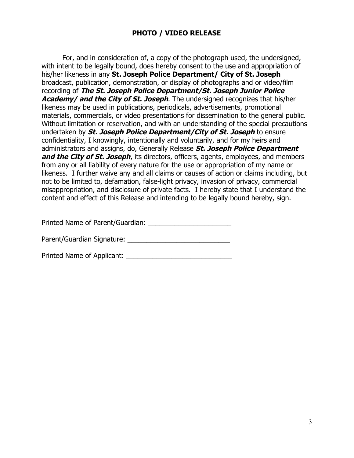## **PHOTO / VIDEO RELEASE**

For, and in consideration of, a copy of the photograph used, the undersigned, with intent to be legally bound, does hereby consent to the use and appropriation of his/her likeness in any **St. Joseph Police Department/ City of St. Joseph** broadcast, publication, demonstration, or display of photographs and or video/film recording of **The St. Joseph Police Department/St. Joseph Junior Police Academy/ and the City of St. Joseph**. The undersigned recognizes that his/her likeness may be used in publications, periodicals, advertisements, promotional materials, commercials, or video presentations for dissemination to the general public. Without limitation or reservation, and with an understanding of the special precautions undertaken by **St. Joseph Police Department/City of St. Joseph** to ensure confidentiality, I knowingly, intentionally and voluntarily, and for my heirs and administrators and assigns, do, Generally Release **St. Joseph Police Department and the City of St. Joseph**, its directors, officers, agents, employees, and members from any or all liability of every nature for the use or appropriation of my name or likeness. I further waive any and all claims or causes of action or claims including, but not to be limited to, defamation, false-light privacy, invasion of privacy, commercial misappropriation, and disclosure of private facts. I hereby state that I understand the content and effect of this Release and intending to be legally bound hereby, sign.

Printed Name of Parent/Guardian:

Parent/Guardian Signature: \_\_\_\_\_\_\_\_\_\_\_\_\_\_\_\_\_\_\_\_\_\_\_\_\_\_\_

Printed Name of Applicant: